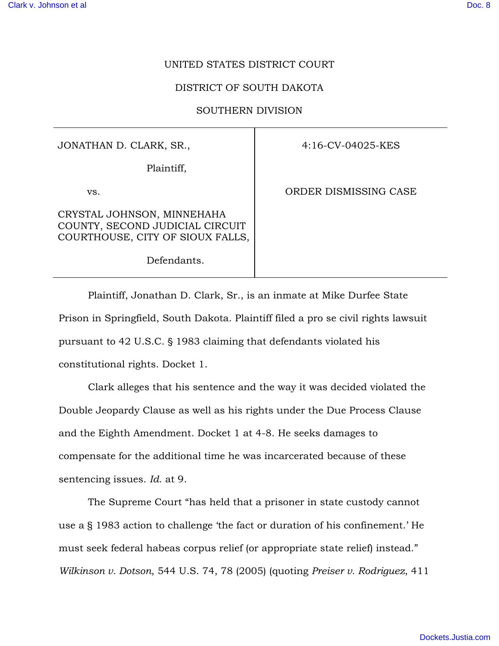## UNITED STATES DISTRICT COURT

## DISTRICT OF SOUTH DAKOTA

## SOUTHERN DIVISION

JONATHAN D. CLARK, SR.,

Plaintiff,

Defendants.

vs.

CRYSTAL JOHNSON, MINNEHAHA COUNTY, SECOND JUDICIAL CIRCUIT COURTHOUSE, CITY OF SIOUX FALLS, 4:16-CV-04025-KES

ORDER DISMISSING CASE

Plaintiff, Jonathan D. Clark, Sr., is an inmate at Mike Durfee State Prison in Springfield, South Dakota. Plaintiff filed a pro se civil rights lawsuit pursuant to 42 U.S.C.  $\S$  1983 claiming that defendants violated his constitutional rights. Docket 1.

 Clark alleges that his sentence and the way it was decided violated the Double Jeopardy Clause as well as his rights under the Due Process Clause and the Eighth Amendment. Docket 1 at 4-8. He seeks damages to compensate for the additional time he was incarcerated because of these sentencing issues. *Id*. at 9.

The Supreme Court "has held that a prisoner in state custody cannot use a § 1983 action to challenge 'the fact or duration of his confinement.' He must seek federal habeas corpus relief (or appropriate state relief) instead." *Wilkinson v. Dotson*, 544 U.S. 74, 78 (2005) (quoting *Preiser v. Rodriguez*, 411